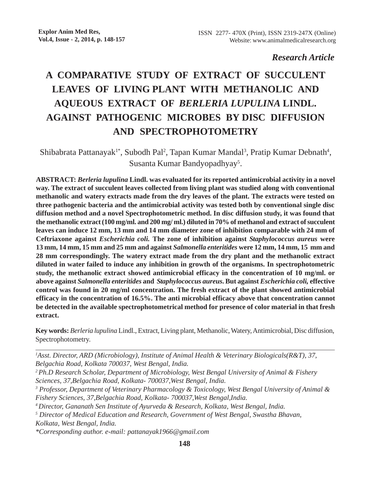# *Research Article*

# **A COMPARATIVE STUDY OF EXTRACT OF SUCCULENT LEAVES OF LIVING PLANT WITH METHANOLIC AND AQUEOUS EXTRACT OF** *BERLERIA LUPULINA* **LINDL. AGAINST PATHOGENIC MICROBES BY DISC DIFFUSION AND SPECTROPHOTOMETRY**

Shibabrata Pattanayak<sup>1\*</sup>, Subodh Pal<sup>2</sup>, Tapan Kumar Mandal<sup>3</sup>, Pratip Kumar Debnath<sup>4</sup>, Susanta Kumar Bandyopadhyay<sup>5</sup>.

**ABSTRACT:** *Berleria lupulina* **Lindl. was evaluated for its reported antimicrobial activity in a novel way. The extract of succulent leaves collected from living plant was studied along with conventional methanolic and watery extracts made from the dry leaves of the plant. The extracts were tested on three pathogenic bacteria and the antimicrobial activity was tested both by conventional single disc diffusion method and a novel Spectrophotometric method. In disc diffusion study, it was found that the methanolic extract (100 mg/ml. and 200 mg/ ml.) diluted in 70% of methanol and extract of succulent leaves can induce 12 mm, 13 mm and 14 mm diameter zone of inhibition comparable with 24 mm of Ceftriaxone against** *Escherichia coli.* **The zone of inhibition against** *Staphylococcus aureus* **were 13 mm, 14 mm, 15 mm and 25 mm and against** *Salmonella enteritides* **were 12 mm, 14 mm, 15 mm and 28 mm correspondingly. The watery extract made from the dry plant and the methanolic extract diluted in water failed to induce any inhibition in growth of the organisms. In spectrophotometric study, the methanolic extract showed antimicrobial efficacy in the concentration of 10 mg/ml. or above against** *Salmonella enteritides* **and** *Staphylococcus aureus***. But against** *Escherichia coli,* **effective control was found in 20 mg/ml concentration. The fresh extract of the plant showed antimicrobial efficacy in the concentration of 16.5%. The anti microbial efficacy above that concentration cannot be detected in the available spectrophotometrical method for presence of color material in that fresh extract.**

**Key words:** *Berleria lupulina* Lindl., Extract, Living plant, Methanolic, Watery, Antimicrobial, Disc diffusion, Spectrophotometry.

- *2 Ph.D Research Scholar, Department of Microbiology, West Bengal University of Animal & Fishery Sciences, 37,Belgachia Road, Kolkata- 700037,West Bengal, India.*
- *3 Professor, Department of Veterinary Pharmacology & Toxicology, West Bengal University of Animal & Fishery Sciences, 37,Belgachia Road, Kolkata- 700037,West Bengal,India.*
- *4 Director, Gananath Sen Institute of Ayurveda & Research, Kolkata, West Bengal, India.*
- *5 Director of Medical Education and Research, Government of West Bengal, Swastha Bhavan, Kolkata, West Bengal, India.*

*\*Corresponding author. e-mail: pattanayak1966@gmail.com*

*<sup>1</sup> Asst. Director, ARD (Microbiology), Institute of Animal Health & Veterinary Biologicals(R&T), 37, Belgachia Road, Kolkata 700037, West Bengal, India.*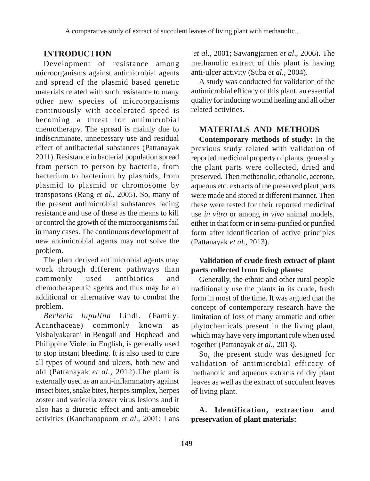## **INTRODUCTION**

Development of resistance among microorganisms against antimicrobial agents and spread of the plasmid based genetic materials related with such resistance to many other new species of microorganisms continuously with accelerated speed is becoming a threat for antimicrobial chemotherapy. The spread is mainly due to indiscriminate, unnecessary use and residual effect of antibacterial substances (Pattanayak 2011). Resistance in bacterial population spread from person to person by bacteria, from bacterium to bacterium by plasmids, from plasmid to plasmid or chromosome by transposons (Rang *et al.,* 2005). So, many of the present antimicrobial substances facing resistance and use of these as the means to kill or control the growth of the microorganisms fail in many cases. The continuous development of new antimicrobial agents may not solve the problem.

The plant derived antimicrobial agents may work through different pathways than commonly used antibiotics and chemotherapeutic agents and thus may be an additional or alternative way to combat the problem.

*Berleria lupulina* Lindl. (Family: Acanthaceae) commonly known as Vishalyakarani in Bengali and Hophead and Philippine Violet in English, is generally used to stop instant bleeding. It is also used to cure all types of wound and ulcers, both new and old (Pattanayak *et al.,* 2012).The plant is externally used as an anti-inflammatory against insect bites, snake bites, herpes simplex, herpes zoster and varicella zoster virus lesions and it also has a diuretic effect and anti-amoebic activities (Kanchanapoom *et al*., 2001; Lans

*et al*., 2001; Sawangjaroen *et al*., 2006). The methanolic extract of this plant is having anti-ulcer activity (Suba *et al.,* 2004).

A study was conducted for validation of the antimicrobial efficacy of this plant, an essential quality for inducing wound healing and all other related activities.

# **MATERIALS AND METHODS**

**Contemporary methods of study:** In the previous study related with validation of reported medicinal property of plants, generally the plant parts were collected, dried and preserved. Then methanolic, ethanolic, acetone, aqueous etc. extracts of the preserved plant parts were made and stored at different manner. Then these were tested for their reported medicinal use *in vitro* or among *in vivo* animal models, either in that form or in semi-purified or purified form after identification of active principles (Pattanayak *et al.,* 2013).

### **Validation of crude fresh extract of plant parts collected from living plants:**

Generally, the ethnic and other rural people traditionally use the plants in its crude, fresh form in most of the time. It was argued that the concept of contemporary research have the limitation of loss of many aromatic and other phytochemicals present in the living plant, which may have very important role when used together (Pattanayak *et al.,* 2013).

So, the present study was designed for validation of antimicrobial efficacy of methanolic and aqueous extracts of dry plant leaves as well as the extract of succulent leaves of living plant.

## **A. Identification, extraction and preservation of plant materials:**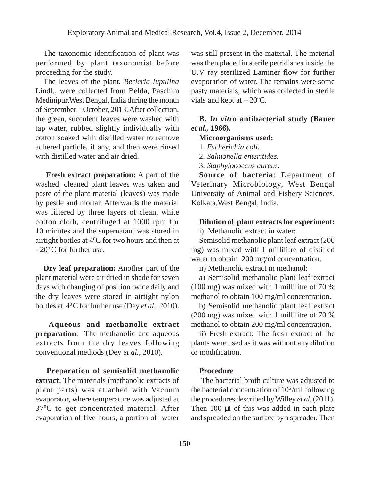The taxonomic identification of plant was performed by plant taxonomist before proceeding for the study.

The leaves of the plant, *Berleria lupulina* Lindl., were collected from Belda, Paschim Medinipur,West Bengal, India during the month of September – October, 2013. After collection, the green, succulent leaves were washed with tap water, rubbed slightly individually with cotton soaked with distilled water to remove adhered particle, if any, and then were rinsed with distilled water and air dried.

**Fresh extract preparation:** A part of the washed, cleaned plant leaves was taken and paste of the plant material (leaves) was made by pestle and mortar. Afterwards the material was filtered by three layers of clean, white cotton cloth, centrifuged at 1000 rpm for 10 minutes and the supernatant was stored in airtight bottles at  $4^{\circ}$ C for two hours and then at  $-20^{\circ}$ C for further use.

**Dry leaf preparation:** Another part of the plant material were air dried in shade for seven days with changing of position twice daily and the dry leaves were stored in airtight nylon bottles at 40 C for further use (Dey *et al.*, 2010).

 **Aqueous and methanolic extract preparation**: The methanolic and aqueous extracts from the dry leaves following conventional methods (Dey *et al.*, 2010).

**Preparation of semisolid methanolic extract:** The materials (methanolic extracts of plant parts) was attached with Vacuum evaporator, where temperature was adjusted at 37<sup>o</sup>C to get concentrated material. After evaporation of five hours, a portion of water

was still present in the material. The material was then placed in sterile petridishes inside the U.V ray sterilized Laminer flow for further evaporation of water. The remains were some pasty materials, which was collected in sterile vials and kept at  $-20^{\circ}$ C.

## **B.** *In vitro* **antibacterial study (Bauer** *et al.,* **1966).**

## **Microorganisms used:**

- 1. *Escherichia coli.*
- 2. *Salmonella enteritides.*
- 3. *Staphylococcus aureus*.

**Source of bacteria**: Department of Veterinary Microbiology, West Bengal University of Animal and Fishery Sciences, Kolkata,West Bengal, India.

#### **Dilution of plant extracts for experiment:**

i) Methanolic extract in water:

Semisolid methanolic plant leaf extract (200 mg) was mixed with 1 millilitre of distilled water to obtain 200 mg/ml concentration.

ii) Methanolic extract in methanol:

a) Semisolid methanolic plant leaf extract (100 mg) was mixed with 1 millilitre of 70 % methanol to obtain 100 mg/ml concentration.

b) Semisolid methanolic plant leaf extract (200 mg) was mixed with 1 millilitre of 70 % methanol to obtain 200 mg/ml concentration.

ii) Fresh extract: The fresh extract of the plants were used as it was without any dilution or modification.

#### **Procedure**

 The bacterial broth culture was adjusted to the bacterial concentration of 106 /ml following the procedures described by Willey *et al*. (2011). Then 100 µl of this was added in each plate and spreaded on the surface by a spreader. Then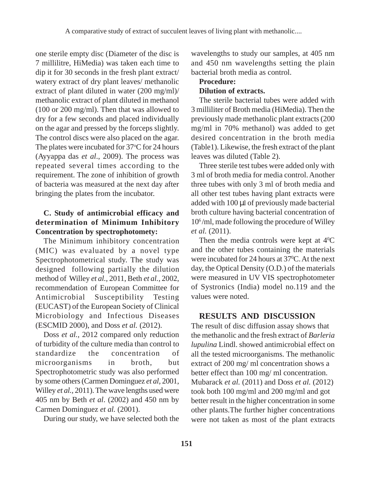one sterile empty disc (Diameter of the disc is 7 millilitre, HiMedia) was taken each time to dip it for 30 seconds in the fresh plant extract/ watery extract of dry plant leaves/ methanolic extract of plant diluted in water (200 mg/ml)/ methanolic extract of plant diluted in methanol (100 or 200 mg/ml). Then that was allowed to dry for a few seconds and placed individually on the agar and pressed by the forceps slightly. The control discs were also placed on the agar. The plates were incubated for  $37^{\circ}$ C for 24 hours (Ayyappa das *et al*., 2009). The process was repeated several times according to the requirement. The zone of inhibition of growth of bacteria was measured at the next day after bringing the plates from the incubator.

# **C. Study of antimicrobial efficacy and determination of Minimum Inhibitory Concentration by spectrophotomety:**

The Minimum inhibitory concentration (MIC) was evaluated by a novel type Spectrophotometrical study. The study was designed following partially the dilution method of Willey *et al.,* 2011, Beth *et al.,* 2002, recommendation of European Committee for Antimicrobial Susceptibility Testing (EUCAST) of the European Society of Clinical Microbiology and Infectious Diseases (ESCMID 2000), and Doss *et al.* (2012).

Doss *et al.,* 2012 compared only reduction of turbidity of the culture media than control to standardize the concentration of microorganisms in broth, but Spectrophotometric study was also performed by some others (Carmen Dominguez *et al,* 2001, Willey *et al.,* 2011). The wave lengths used were 405 nm by Beth *et al*. (2002) and 450 nm by Carmen Dominguez *et al.* (2001).

During our study, we have selected both the

wavelengths to study our samples, at 405 nm and 450 nm wavelengths setting the plain bacterial broth media as control.

# **Procedure: Dilution of extracts.**

The sterile bacterial tubes were added with 3 milliliter of Broth media (HiMedia). Then the previously made methanolic plant extracts (200 mg/ml in 70% methanol) was added to get desired concentration in the broth media (Table1). Likewise, the fresh extract of the plant leaves was diluted (Table 2).

Three sterile test tubes were added only with 3 ml of broth media for media control. Another three tubes with only 3 ml of broth media and all other test tubes having plant extracts were added with 100 µl of previously made bacterial broth culture having bacterial concentration of 106 /ml, made following the procedure of Willey *et al.* (2011).

Then the media controls were kept at  $4^{\circ}$ C and the other tubes containing the materials were incubated for 24 hours at 37<sup>o</sup>C. At the next day, the Optical Density (O.D.) of the materials were measured in UV VIS spectrophotometer of Systronics (India) model no.119 and the values were noted.

# **RESULTS AND DISCUSSION**

The result of disc diffusion assay shows that the methanolic and the fresh extract of *Barleria lupulina* Lindl. showed antimicrobial effect on all the tested microorganisms. The methanolic extract of 200 mg/ ml concentration shows a better effect than 100 mg/ ml concentration. Mubarack *et al.* (2011) and Doss *et al.* (2012) took both 100 mg/ml and 200 mg/ml and got better result in the higher concentration in some other plants.The further higher concentrations were not taken as most of the plant extracts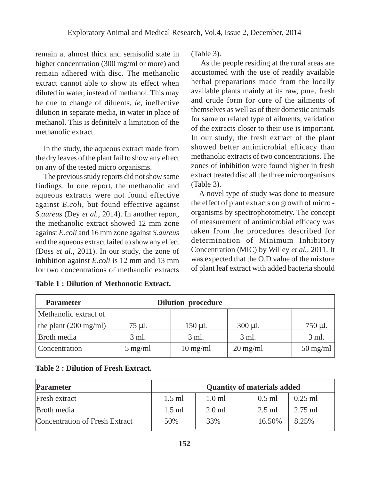remain at almost thick and semisolid state in higher concentration (300 mg/ml or more) and remain adhered with disc. The methanolic extract cannot able to show its effect when diluted in water, instead of methanol. This may be due to change of diluents, *ie*, ineffective dilution in separate media, in water in place of methanol. This is definitely a limitation of the methanolic extract.

In the study, the aqueous extract made from the dry leaves of the plant fail to show any effect on any of the tested micro organisms.

The previous study reports did not show same findings. In one report, the methanolic and aqueous extracts were not found effective against *E.coli*, but found effective against *S.aureus* (Dey *et al.,* 2014). In another report, the methanolic extract showed 12 mm zone against *E.coli* and 16 mm zone against *S.aureus* and the aqueous extract failed to show any effect (Doss *et al.,* 2011). In our study, the zone of inhibition against *E.coli* is 12 mm and 13 mm for two concentrations of methanolic extracts (Table 3).

 As the people residing at the rural areas are accustomed with the use of readily available herbal preparations made from the locally available plants mainly at its raw, pure, fresh and crude form for cure of the ailments of themselves as well as of their domestic animals for same or related type of ailments, validation of the extracts closer to their use is important. In our study, the fresh extract of the plant showed better antimicrobial efficacy than methanolic extracts of two concentrations. The zones of inhibition were found higher in fresh extract treated disc all the three microorganisms (Table 3).

A novel type of study was done to measure the effect of plant extracts on growth of micro organisms by spectrophotometry. The concept of measurement of antimicrobial efficacy was taken from the procedures described for determination of Minimum Inhibitory Concentration (MIC) by Willey *et al.*, 2011. It was expected that the O.D value of the mixture of plant leaf extract with added bacteria should

| <b>Parameter</b>                | <b>Dilution procedure</b> |                    |                    |              |  |
|---------------------------------|---------------------------|--------------------|--------------------|--------------|--|
| Methanolic extract of           |                           |                    |                    |              |  |
| the plant $(200 \text{ mg/ml})$ | 75 µl.                    | $150 \mu$ l.       | $300 \mu l$ .      | $750 \mu$ l. |  |
| Broth media                     | 3 ml.                     | 3 ml.              | 3 ml.              | 3 ml.        |  |
| Concentration                   | $5 \text{ mg/ml}$         | $10 \text{ mg/ml}$ | $20 \text{ mg/ml}$ | $50$ mg/ml   |  |

| <b>Table 1 : Dilution of Methonotic Extract.</b> |  |
|--------------------------------------------------|--|
|--------------------------------------------------|--|

## **Table 2 : Dilution of Fresh Extract.**

| <b>Parameter</b>               | <b>Quantity of materials added</b> |                  |          |           |  |
|--------------------------------|------------------------------------|------------------|----------|-----------|--|
| Fresh extract                  | $1.5$ ml                           | $1.0 \text{ ml}$ | $0.5$ ml | $0.25$ ml |  |
| Broth media                    | $1.5$ ml                           | $2.0$ ml         | $2.5$ ml | $2.75$ ml |  |
| Concentration of Fresh Extract | 50%                                | 33%              | 16.50%   | 8.25%     |  |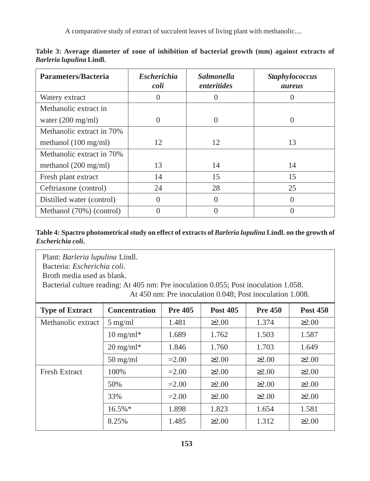A comparative study of extract of succulent leaves of living plant with methanolic....

| Parameters/Bacteria            | <b>Escherichia</b><br>coli | <i>Salmonella</i><br>enteritides | <b>Staphylococcus</b><br><i>aureus</i> |
|--------------------------------|----------------------------|----------------------------------|----------------------------------------|
| Watery extract                 |                            |                                  |                                        |
| Methanolic extract in          |                            |                                  |                                        |
| water $(200 \text{ mg/ml})$    |                            | 0                                | 0                                      |
| Methanolic extract in 70%      |                            |                                  |                                        |
| methanol $(100 \text{ mg/ml})$ | 12                         | 12                               | 13                                     |
| Methanolic extract in 70%      |                            |                                  |                                        |
| methanol $(200 \text{ mg/ml})$ | 13                         | 14                               | 14                                     |
| Fresh plant extract            | 14                         | 15                               | 15                                     |
| Ceftriaxone (control)          | 24                         | 28                               | 25                                     |
| Distilled water (control)      | $\Omega$                   | 0                                | 0                                      |
| Methanol (70%) (control)       |                            |                                  |                                        |

**Table 3: Average diameter of zone of inhibition of bacterial growth (mm) against extracts of** *Barleria lupulina* **Lindl.**

## **Table 4: Spactro photometrical study on effect of extracts of** *Barleria lupulina* **Lindl. on the growth of** *Escherichia coli***.**

Plant: *Barleria lupulina* Lindl.

Bacteria: *Escherichia coli*.

Broth media used as blank.

Bacterial culture reading: At 405 nm: Pre inoculation 0.055; Post inoculation 1.058.

At 450 nm: Pre inoculation 0.048; Post inoculation 1.008.

| <b>Type of Extract</b> | <b>Concentration</b> | <b>Pre 405</b> | <b>Post 405</b> | <b>Pre 450</b> | <b>Post 450</b> |
|------------------------|----------------------|----------------|-----------------|----------------|-----------------|
| Methanolic extract     | $5 \text{ mg/ml}$    | 1.481          | $\geq 2.00$     | 1.374          | $\geq 2.00$     |
|                        | $10 \text{ mg/ml}^*$ | 1.689          | 1.762           | 1.503          | 1.587           |
|                        | $20 \text{ mg/ml}^*$ | 1.846          | 1.760           | 1.703          | 1.649           |
|                        | $50 \text{ mg/ml}$   | $=2.00$        | $\geq 2.00$     | $\geq 2.00$    | $\geq 2.00$     |
| <b>Fresh Extract</b>   | 100\%                | $=2.00$        | $\geq 2.00$     | $\geq 2.00$    | $\geq 2.00$     |
|                        | 50%                  | $=2.00$        | $\geq 2.00$     | $\geq 2.00$    | $\geq 2.00$     |
|                        | 33%                  | $=2.00$        | $\geq 2.00$     | $\geq 2.00$    | $\geq 2.00$     |
|                        | $16.5\%$ *           | 1.898          | 1.823           | 1.654          | 1.581           |
|                        | 8.25%                | 1.485          | $\geq 2.00$     | 1.312          | $\geq 2.00$     |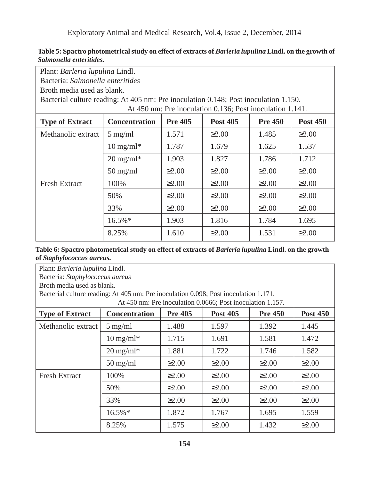Exploratory Animal and Medical Research, Vol.4, Issue 2, December, 2014

| Plant: Barleria lupulina Lindl.                                                      |                                                                                                |             |                                                           |             |             |  |  |
|--------------------------------------------------------------------------------------|------------------------------------------------------------------------------------------------|-------------|-----------------------------------------------------------|-------------|-------------|--|--|
| Bacteria: Salmonella enteritides                                                     |                                                                                                |             |                                                           |             |             |  |  |
| Broth media used as blank.                                                           |                                                                                                |             |                                                           |             |             |  |  |
| Bacterial culture reading: At 405 nm: Pre inoculation 0.148; Post inoculation 1.150. |                                                                                                |             |                                                           |             |             |  |  |
|                                                                                      |                                                                                                |             | At 450 nm: Pre inoculation 0.136; Post inoculation 1.141. |             |             |  |  |
| <b>Type of Extract</b>                                                               | <b>Concentration</b><br><b>Pre 405</b><br><b>Post 405</b><br><b>Pre 450</b><br><b>Post 450</b> |             |                                                           |             |             |  |  |
| Methanolic extract                                                                   | $5$ mg/ml                                                                                      | 1.571       | $\geq 2.00$                                               | 1.485       | $\geq 2.00$ |  |  |
|                                                                                      | $10 \text{ mg/ml}^*$                                                                           | 1.787       | 1.679                                                     | 1.625       | 1.537       |  |  |
|                                                                                      | $20 \text{ mg/ml}^*$                                                                           | 1.903       | 1.827                                                     | 1.786       | 1.712       |  |  |
|                                                                                      | $50 \text{ mg/ml}$                                                                             | $\geq 2.00$ | $\geq 2.00$                                               | $\geq 2.00$ | $\geq 2.00$ |  |  |
| <b>Fresh Extract</b>                                                                 | 100%                                                                                           | $\geq 2.00$ | $\geq 2.00$                                               | $\geq 2.00$ | $\geq 2.00$ |  |  |
|                                                                                      | 50%                                                                                            | $\geq 2.00$ | $\geq 2.00$                                               | $\geq 2.00$ | $\geq 2.00$ |  |  |
|                                                                                      | 33%                                                                                            | $\geq 2.00$ | $\geq 2.00$                                               | $\geq 2.00$ | $\geq 2.00$ |  |  |
|                                                                                      | $16.5\%*$                                                                                      | 1.903       | 1.816                                                     | 1.784       | 1.695       |  |  |
|                                                                                      | 8.25%                                                                                          | 1.610       | $\geq 2.00$                                               | 1.531       | $\geq 2.00$ |  |  |

**Table 5: Spactro photometrical study on effect of extracts of** *Barleria lupulina* **Lindl. on the growth of** *Salmonella enteritides.*

### **Table 6: Spactro photometrical study on effect of extracts of** *Barleria lupulina* **Lindl. on the growth of** *Staphylococcus aureus.*

| Plant: Barleria lupulina Lindl.                                                      |                                                                                         |             |                                                            |             |             |  |  |
|--------------------------------------------------------------------------------------|-----------------------------------------------------------------------------------------|-------------|------------------------------------------------------------|-------------|-------------|--|--|
| Bacteria: Staphylococcus aureus                                                      |                                                                                         |             |                                                            |             |             |  |  |
| Broth media used as blank.                                                           |                                                                                         |             |                                                            |             |             |  |  |
| Bacterial culture reading: At 405 nm: Pre inoculation 0.098; Post inoculation 1.171. |                                                                                         |             |                                                            |             |             |  |  |
|                                                                                      |                                                                                         |             | At 450 nm: Pre inoculation 0.0666; Post inoculation 1.157. |             |             |  |  |
| <b>Type of Extract</b>                                                               | <b>Pre 405</b><br>Concentration<br><b>Post 405</b><br><b>Pre 450</b><br><b>Post 450</b> |             |                                                            |             |             |  |  |
| Methanolic extract                                                                   | $5 \text{ mg/ml}$                                                                       | 1.488       | 1.597                                                      | 1.392       | 1.445       |  |  |
|                                                                                      | $10 \text{ mg/ml}^*$                                                                    | 1.715       | 1.691                                                      | 1.581       | 1.472       |  |  |
|                                                                                      | $20 \text{ mg/ml}^*$                                                                    | 1.881       | 1.722                                                      | 1.746       | 1.582       |  |  |
|                                                                                      | $50 \text{ mg/ml}$                                                                      | $\geq 2.00$ | $\geq 2.00$                                                | $\geq 2.00$ | $\geq 2.00$ |  |  |
| <b>Fresh Extract</b>                                                                 | 100%                                                                                    | $\geq 2.00$ | $\geq 2.00$                                                | $\geq 2.00$ | $\geq 2.00$ |  |  |
|                                                                                      | 50%                                                                                     | $\geq 2.00$ | $\geq 2.00$                                                | $\geq 2.00$ | $\geq 2.00$ |  |  |
|                                                                                      | 33%                                                                                     | $\geq 2.00$ | $\geq 2.00$                                                | $\geq 2.00$ | $\geq 2.00$ |  |  |
|                                                                                      | 16.5%*                                                                                  | 1.872       | 1.767                                                      | 1.695       | 1.559       |  |  |
|                                                                                      | 8.25%                                                                                   | 1.575       | $\geq 2.00$                                                | 1.432       | $\geq 2.00$ |  |  |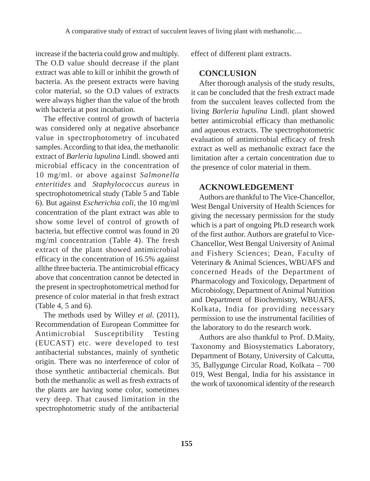increase if the bacteria could grow and multiply. The O.D value should decrease if the plant extract was able to kill or inhibit the growth of bacteria. As the present extracts were having color material, so the O.D values of extracts were always higher than the value of the broth with bacteria at post incubation.

The effective control of growth of bacteria was considered only at negative absorbance value in spectrophotometry of incubated samples. According to that idea, the methanolic extract of *Barleria lupulina* Lindl. showed anti microbial efficacy in the concentration of 10 mg/ml. or above against *Salmonella enteritides* and *Staphylococcus aureus* in spectrophotometrical study (Table 5 and Table 6). But against *Escherichia coli,* the 10 mg/ml concentration of the plant extract was able to show some level of control of growth of bacteria, but effective control was found in 20 mg/ml concentration (Table 4). The fresh extract of the plant showed antimicrobial efficacy in the concentration of 16.5% against allthe three bacteria. The antimicrobial efficacy above that concentration cannot be detected in the present in spectrophotometrical method for presence of color material in that fresh extract (Table 4, 5 and 6).

The methods used by Willey *et al.* (2011), Recommendation of European Committee for Antimicrobial Susceptibility Testing (EUCAST) etc. were developed to test antibacterial substances, mainly of synthetic origin. There was no interference of color of those synthetic antibacterial chemicals. But both the methanolic as well as fresh extracts of the plants are having some color, sometimes very deep. That caused limitation in the spectrophotometric study of the antibacterial

effect of different plant extracts.

#### **CONCLUSION**

After thorough analysis of the study results, it can be concluded that the fresh extract made from the succulent leaves collected from the living *Barleria lupulina* Lindl. plant showed better antimicrobial efficacy than methanolic and aqueous extracts. The spectrophotometric evaluation of antimicrobial efficacy of fresh extract as well as methanolic extract face the limitation after a certain concentration due to the presence of color material in them.

#### **ACKNOWLEDGEMENT**

Authors are thankful to The Vice-Chancellor, West Bengal University of Health Sciences for giving the necessary permission for the study which is a part of ongoing Ph.D research work of the first author. Authors are grateful to Vice-Chancellor, West Bengal University of Animal and Fishery Sciences; Dean, Faculty of Veterinary & Animal Sciences, WBUAFS and concerned Heads of the Department of Pharmacology and Toxicology, Department of Microbiology, Department of Animal Nutrition and Department of Biochemistry, WBUAFS, Kolkata, India for providing necessary permission to use the instrumental facilities of the laboratory to do the research work.

Authors are also thankful to Prof. D.Maity, Taxonomy and Biosystematics Laboratory, Department of Botany, University of Calcutta, 35, Ballygunge Circular Road, Kolkata – 700 019, West Bengal, India for his assistance in the work of taxonomical identity of the research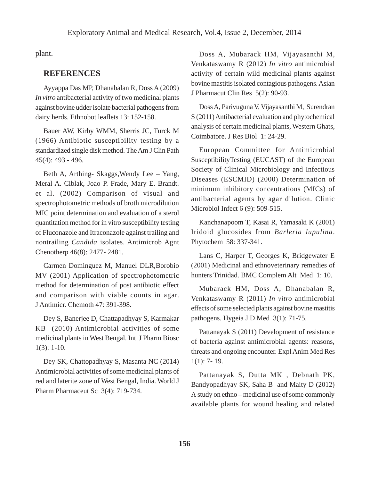plant.

#### **REFERENCES**

Ayyappa Das MP, Dhanabalan R, Doss A (2009) *In vitro* antibacterial activity of two medicinal plants against bovine udder isolate bacterial pathogens from dairy herds. Ethnobot leaflets 13: 152-158.

Bauer AW, Kirby WMM, Sherris JC, Turck M (1966) Antibiotic susceptibility testing by a standardized single disk method. The Am J Clin Path 45(4): 493 - 496.

Beth A, Arthing- Skaggs,Wendy Lee – Yang, Meral A. Ciblak, Joao P. Frade, Mary E. Brandt. et al*.* (2002) Comparison of visual and spectrophotometric methods of broth microdilution MIC point determination and evaluation of a sterol quantitation method for in vitro susceptibility testing of Fluconazole and Itraconazole against trailing and nontrailing *Candida* isolates. Antimicrob Agnt Chenotherp 46(8): 2477- 2481.

Carmen Dominguez M, Manuel DLR,Borobio MV (2001) Application of spectrophotometric method for determination of post antibiotic effect and comparison with viable counts in agar. J Antimicr. Chemoth 47: 391-398.

Dey S, Banerjee D, Chattapadhyay S, Karmakar KB (2010) Antimicrobial activities of some medicinal plants in West Bengal. Int J Pharm Biosc 1(3): 1-10.

Dey SK, Chattopadhyay S, Masanta NC (2014) Antimicrobial activities of some medicinal plants of red and laterite zone of West Bengal, India. World J Pharm Pharmaceut Sc 3(4): 719-734.

Doss A, Mubarack HM, Vijayasanthi M, Venkataswamy R (2012) *In vitro* antimicrobial activity of certain wild medicinal plants against bovine mastitis isolated contagious pathogens. Asian J Pharmacut Clin Res 5(2): 90-93.

Doss A, Parivuguna V, Vijayasanthi M, Surendran S (2011) Antibacterial evaluation and phytochemical analysis of certain medicinal plants, Western Ghats, Coimbatore. J Res Biol 1: 24-29.

European Committee for Antimicrobial SusceptibilityTesting (EUCAST) of the European Society of Clinical Microbiology and Infectious Diseases (ESCMID) (2000) Determination of minimum inhibitory concentrations (MICs) of antibacterial agents by agar dilution. Clinic Microbiol Infect 6 (9): 509-515.

Kanchanapoom T, Kasai R, Yamasaki K (2001) Iridoid glucosides from *Barleria lupulina*. Phytochem 58: 337-341.

Lans C, Harper T, Georges K, Bridgewater E (2001) Medicinal and ethnoveterinary remedies of hunters Trinidad. BMC Complem Alt Med 1: 10.

Mubarack HM, Doss A, Dhanabalan R, Venkataswamy R (2011) *In vitro* antimicrobial effects of some selected plants against bovine mastitis pathogens. Hygeia J D Med 3(1): 71-75.

Pattanayak S (2011) Development of resistance of bacteria against antimicrobial agents: reasons, threats and ongoing encounter. Expl Anim Med Res 1(1): 7- 19.

Pattanayak S, Dutta MK , Debnath PK, Bandyopadhyay SK, Saha B and Maity D (2012) A study on ethno – medicinal use of some commonly available plants for wound healing and related